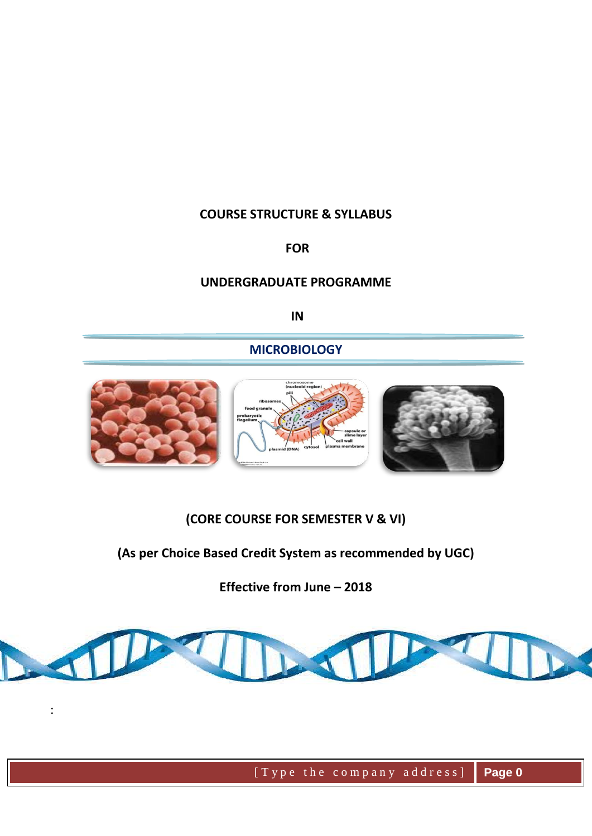#### **COURSE STRUCTURE & SYLLABUS**

#### **FOR**

#### **UNDERGRADUATE PROGRAMME**

**IN**

#### **MICROBIOLOGY**



#### **(CORE COURSE FOR SEMESTER V & VI)**

## **(As per Choice Based Credit System as recommended by UGC)**

**Effective from June – 2018**



: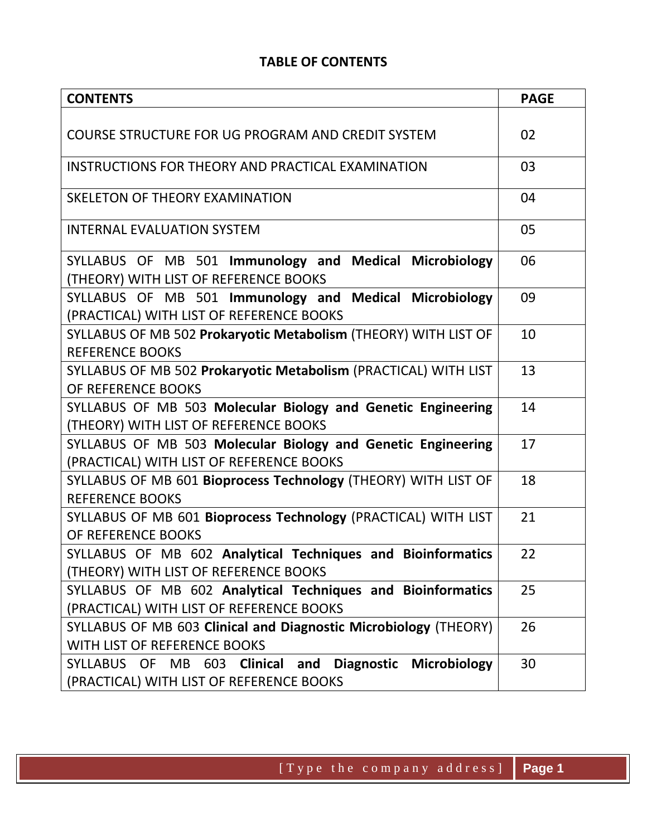#### **TABLE OF CONTENTS**

| <b>CONTENTS</b>                                                                      | <b>PAGE</b> |
|--------------------------------------------------------------------------------------|-------------|
|                                                                                      |             |
| COURSE STRUCTURE FOR UG PROGRAM AND CREDIT SYSTEM                                    | 02          |
| INSTRUCTIONS FOR THEORY AND PRACTICAL EXAMINATION                                    | 03          |
| SKELETON OF THEORY EXAMINATION                                                       | 04          |
|                                                                                      |             |
| <b>INTERNAL EVALUATION SYSTEM</b>                                                    | 05          |
| SYLLABUS OF MB 501 Immunology and Medical Microbiology                               | 06          |
| (THEORY) WITH LIST OF REFERENCE BOOKS                                                |             |
| SYLLABUS OF MB 501 Immunology and Medical Microbiology                               | 09          |
| (PRACTICAL) WITH LIST OF REFERENCE BOOKS                                             |             |
| SYLLABUS OF MB 502 Prokaryotic Metabolism (THEORY) WITH LIST OF                      | 10          |
| <b>REFERENCE BOOKS</b>                                                               |             |
| SYLLABUS OF MB 502 Prokaryotic Metabolism (PRACTICAL) WITH LIST                      | 13          |
| OF REFERENCE BOOKS                                                                   |             |
| SYLLABUS OF MB 503 Molecular Biology and Genetic Engineering                         | 14          |
| (THEORY) WITH LIST OF REFERENCE BOOKS                                                |             |
| SYLLABUS OF MB 503 Molecular Biology and Genetic Engineering                         | 17          |
| (PRACTICAL) WITH LIST OF REFERENCE BOOKS                                             |             |
| SYLLABUS OF MB 601 Bioprocess Technology (THEORY) WITH LIST OF                       | 18          |
| <b>REFERENCE BOOKS</b>                                                               |             |
| SYLLABUS OF MB 601 Bioprocess Technology (PRACTICAL) WITH LIST<br>OF REFERENCE BOOKS | 21          |
| SYLLABUS OF MB 602 Analytical Techniques and Bioinformatics                          | 22          |
| (THEORY) WITH LIST OF REFERENCE BOOKS                                                |             |
| SYLLABUS OF MB 602 Analytical Techniques and Bioinformatics                          | 25          |
| (PRACTICAL) WITH LIST OF REFERENCE BOOKS                                             |             |
| SYLLABUS OF MB 603 Clinical and Diagnostic Microbiology (THEORY)                     | 26          |
| WITH LIST OF REFERENCE BOOKS                                                         |             |
| SYLLABUS OF MB 603 Clinical and<br>Diagnostic Microbiology                           | 30          |
| (PRACTICAL) WITH LIST OF REFERENCE BOOKS                                             |             |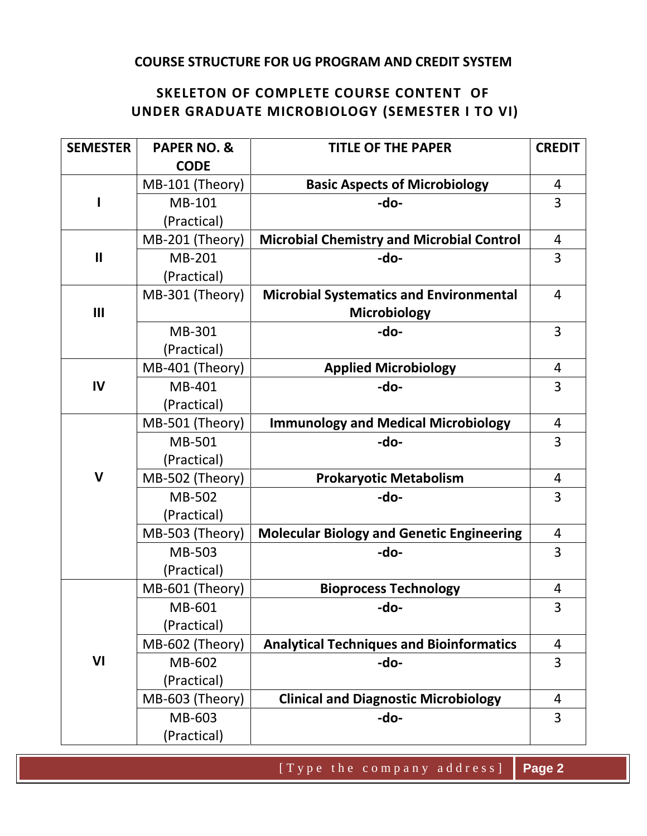#### **COURSE STRUCTURE FOR UG PROGRAM AND CREDIT SYSTEM**

#### **SKELETON OF COMPLETE COURSE CONTENT OF UNDER GRADUATE MICROBIOLOGY (SEMESTER I TO VI)**

| <b>SEMESTER</b> | <b>PAPER NO. &amp;</b> | <b>CREDIT</b><br><b>TITLE OF THE PAPER</b>       |                |
|-----------------|------------------------|--------------------------------------------------|----------------|
|                 | <b>CODE</b>            |                                                  |                |
|                 | MB-101 (Theory)        | <b>Basic Aspects of Microbiology</b>             | 4              |
| I               | MB-101                 | -do-                                             | 3              |
|                 | (Practical)            |                                                  |                |
|                 | MB-201 (Theory)        | <b>Microbial Chemistry and Microbial Control</b> | 4              |
| $\mathbf{I}$    | MB-201                 | -do-                                             | 3              |
|                 | (Practical)            |                                                  |                |
|                 | MB-301 (Theory)        | <b>Microbial Systematics and Environmental</b>   | $\overline{4}$ |
| III             |                        | Microbiology                                     |                |
|                 | MB-301                 | -do-                                             | 3              |
|                 | (Practical)            |                                                  |                |
|                 | MB-401 (Theory)        | <b>Applied Microbiology</b>                      | 4              |
| IV              | MB-401                 | -do-                                             | 3              |
|                 | (Practical)            |                                                  |                |
|                 | MB-501 (Theory)        | <b>Immunology and Medical Microbiology</b>       | 4              |
|                 | MB-501                 | -do-                                             | 3              |
|                 | (Practical)            |                                                  |                |
| $\mathbf v$     | MB-502 (Theory)        | <b>Prokaryotic Metabolism</b>                    | 4              |
|                 | MB-502                 | -do-                                             | 3              |
|                 | (Practical)            |                                                  |                |
|                 | MB-503 (Theory)        | <b>Molecular Biology and Genetic Engineering</b> | $\overline{4}$ |
|                 | MB-503                 | -do-                                             | 3              |
|                 | (Practical)            |                                                  |                |
|                 | MB-601 (Theory)        | <b>Bioprocess Technology</b>                     | 4              |
|                 | MB-601                 | -do-                                             | 3              |
|                 | (Practical)            |                                                  |                |
|                 | MB-602 (Theory)        | <b>Analytical Techniques and Bioinformatics</b>  | 4              |
| VI              | MB-602                 | -do-                                             | 3              |
|                 | (Practical)            |                                                  |                |
|                 | MB-603 (Theory)        | <b>Clinical and Diagnostic Microbiology</b>      | 4              |
|                 | MB-603                 | -do-                                             | 3              |
|                 | (Practical)            |                                                  |                |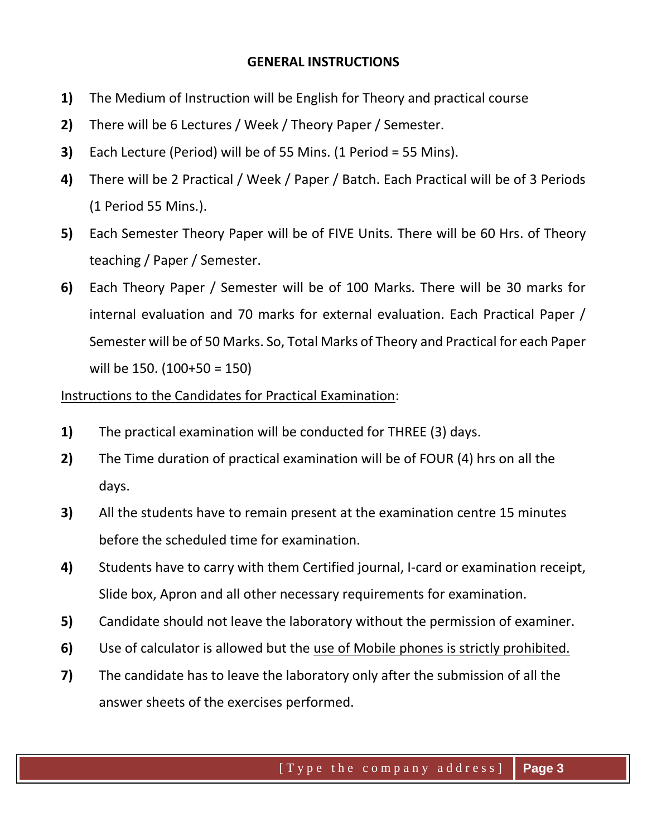#### **GENERAL INSTRUCTIONS**

- **1)** The Medium of Instruction will be English for Theory and practical course
- **2)** There will be 6 Lectures / Week / Theory Paper / Semester.
- **3)** Each Lecture (Period) will be of 55 Mins. (1 Period = 55 Mins).
- **4)** There will be 2 Practical / Week / Paper / Batch. Each Practical will be of 3 Periods (1 Period 55 Mins.).
- **5)** Each Semester Theory Paper will be of FIVE Units. There will be 60 Hrs. of Theory teaching / Paper / Semester.
- **6)** Each Theory Paper / Semester will be of 100 Marks. There will be 30 marks for internal evaluation and 70 marks for external evaluation. Each Practical Paper / Semester will be of 50 Marks. So, Total Marks of Theory and Practical for each Paper will be 150. (100+50 = 150)

#### Instructions to the Candidates for Practical Examination:

- **1)** The practical examination will be conducted for THREE (3) days.
- **2)** The Time duration of practical examination will be of FOUR (4) hrs on all the days.
- **3)** All the students have to remain present at the examination centre 15 minutes before the scheduled time for examination.
- **4)** Students have to carry with them Certified journal, I-card or examination receipt, Slide box, Apron and all other necessary requirements for examination.
- **5)** Candidate should not leave the laboratory without the permission of examiner.
- **6)** Use of calculator is allowed but the use of Mobile phones is strictly prohibited.
- **7)** The candidate has to leave the laboratory only after the submission of all the answer sheets of the exercises performed.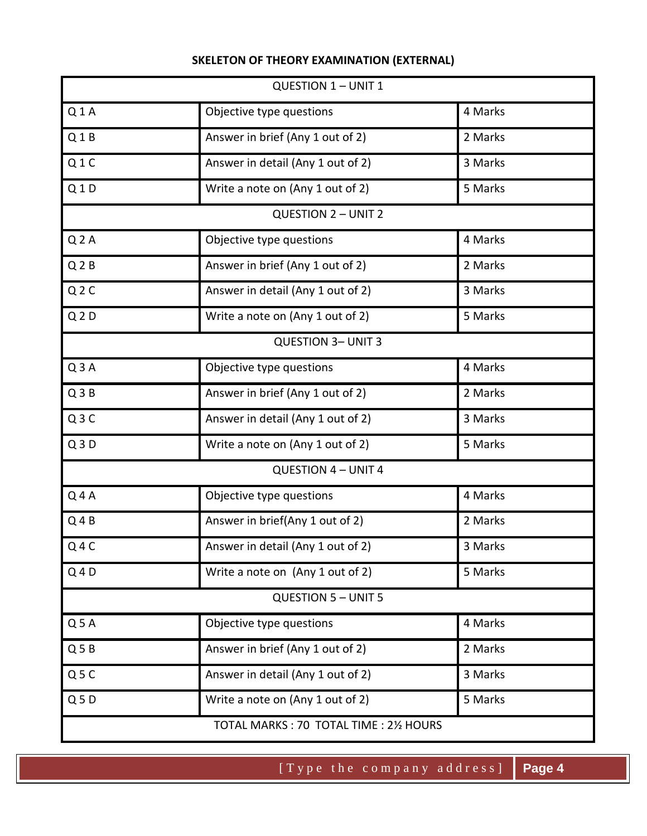#### **SKELETON OF THEORY EXAMINATION (EXTERNAL)**

| <b>QUESTION 1 - UNIT 1</b> |                                   |         |
|----------------------------|-----------------------------------|---------|
| Q1A                        | Objective type questions          | 4 Marks |
| Q1B                        | Answer in brief (Any 1 out of 2)  | 2 Marks |
| Q1C                        | Answer in detail (Any 1 out of 2) | 3 Marks |
| Q1D                        | Write a note on (Any 1 out of 2)  | 5 Marks |
|                            | <b>QUESTION 2 - UNIT 2</b>        |         |
| Q <sub>2</sub> A           | Objective type questions          | 4 Marks |
| Q <sub>2</sub> B           | Answer in brief (Any 1 out of 2)  | 2 Marks |
| Q <sub>2</sub> C           | Answer in detail (Any 1 out of 2) | 3 Marks |
| Q <sub>2</sub> D           | Write a note on (Any 1 out of 2)  | 5 Marks |
|                            | <b>QUESTION 3- UNIT 3</b>         |         |
| Q3A                        | Objective type questions          | 4 Marks |
| Q3B                        | Answer in brief (Any 1 out of 2)  | 2 Marks |
| Q3C                        | Answer in detail (Any 1 out of 2) | 3 Marks |
| Q3D                        | Write a note on (Any 1 out of 2)  | 5 Marks |
|                            | <b>QUESTION 4 - UNIT 4</b>        |         |
| $Q$ 4A                     | Objective type questions          | 4 Marks |
| $Q_4B$                     | Answer in brief(Any 1 out of 2)   | 2 Marks |
| $Q$ 4 $C$                  | Answer in detail (Any 1 out of 2) | 3 Marks |
| $Q$ 4 D                    | Write a note on (Any 1 out of 2)  | 5 Marks |
|                            | <b>QUESTION 5 - UNIT 5</b>        |         |
| Q <sub>5</sub> A           | Objective type questions          | 4 Marks |
| Q <sub>5</sub> B           | Answer in brief (Any 1 out of 2)  | 2 Marks |
| Q5C                        | Answer in detail (Any 1 out of 2) | 3 Marks |
| Q <sub>5</sub> D           | Write a note on (Any 1 out of 2)  | 5 Marks |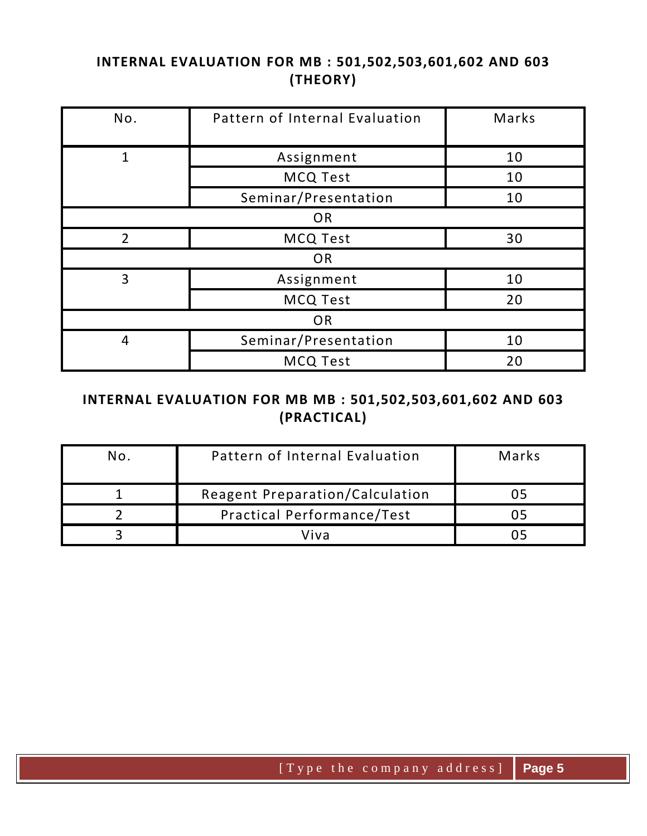## **INTERNAL EVALUATION FOR MB : 501,502,503,601,602 AND 603 (THEORY)**

| No.            | Pattern of Internal Evaluation | Marks |  |
|----------------|--------------------------------|-------|--|
|                |                                |       |  |
| 1              | Assignment                     | 10    |  |
|                | <b>MCQ Test</b>                | 10    |  |
|                | Seminar/Presentation           | 10    |  |
| <b>OR</b>      |                                |       |  |
| $\overline{2}$ | <b>MCQ Test</b>                | 30    |  |
|                | <b>OR</b>                      |       |  |
| 3              | Assignment                     | 10    |  |
|                | <b>MCQ Test</b>                | 20    |  |
| OR             |                                |       |  |
| 4              | Seminar/Presentation           | 10    |  |
|                | <b>MCQ Test</b>                | 20    |  |

#### **INTERNAL EVALUATION FOR MB MB : 501,502,503,601,602 AND 603 (PRACTICAL)**

| No. | Pattern of Internal Evaluation         | Marks |
|-----|----------------------------------------|-------|
|     | <b>Reagent Preparation/Calculation</b> |       |
|     | <b>Practical Performance/Test</b>      |       |
|     | Viva                                   |       |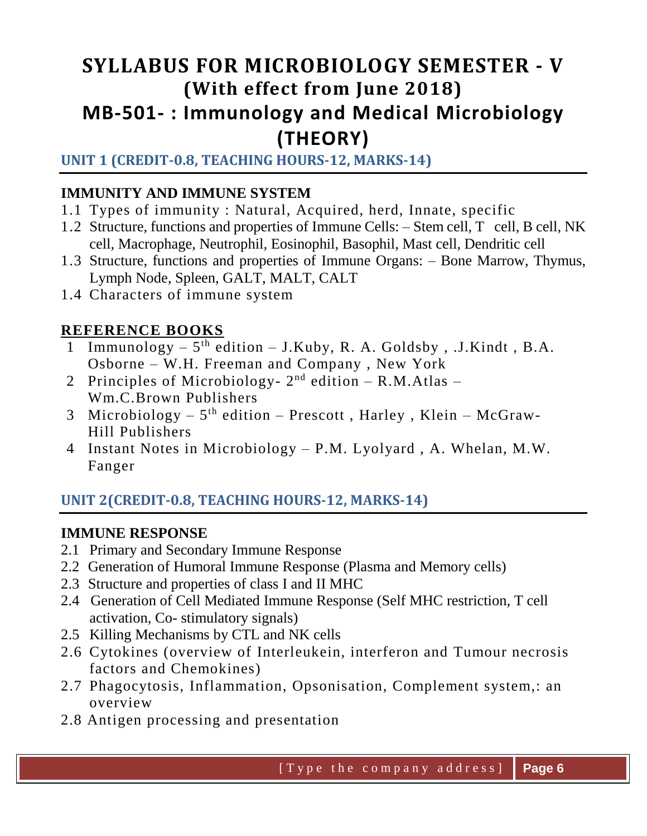# **SYLLABUS FOR MICROBIOLOGY SEMESTER - V (With effect from June 2018) MB-501- : Immunology and Medical Microbiology (THEORY)**

# **UNIT 1 (CREDIT-0.8, TEACHING HOURS-12, MARKS-14)**

# **IMMUNITY AND IMMUNE SYSTEM**

- 1.1 Types of immunity : Natural, Acquired, herd, Innate, specific
- 1.2 Structure, functions and properties of Immune Cells: Stem cell, T cell, B cell, NK cell, Macrophage, Neutrophil, Eosinophil, Basophil, Mast cell, Dendritic cell
- 1.3 Structure, functions and properties of Immune Organs: Bone Marrow, Thymus, Lymph Node, Spleen, GALT, MALT, CALT
- 1.4 Characters of immune system

# **REFERENCE BOOKS**

- 1 Immunology 5<sup>th</sup> edition J.Kuby, R. A. Goldsby, .J.Kindt, B.A. Osborne – W.H. Freeman and Company , New York
- 2 Principles of Microbiology-  $2<sup>nd</sup>$  edition R.M.Atlas Wm.C.Brown Publishers
- 3 Microbiology  $-5$ <sup>th</sup> edition  $-$  Prescott, Harley, Klein  $-$  McGraw-Hill Publishers
- 4 Instant Notes in Microbiology P.M. Lyolyard , A. Whelan, M.W. Fanger

# **UNIT 2(CREDIT-0.8, TEACHING HOURS-12, MARKS-14)**

# **IMMUNE RESPONSE**

- 2.1 Primary and Secondary Immune Response
- 2.2 Generation of Humoral Immune Response (Plasma and Memory cells)
- 2.3 Structure and properties of class I and II MHC
- 2.4 Generation of Cell Mediated Immune Response (Self MHC restriction, T cell activation, Co- stimulatory signals)
- 2.5 Killing Mechanisms by CTL and NK cells
- 2.6 Cytokines (overview of Interleukein, interferon and Tumour necrosis factors and Chemokines)
- 2.7 Phagocytosis, Inflammation, Opsonisation, Complement system,: an overview
- 2.8 Antigen processing and presentation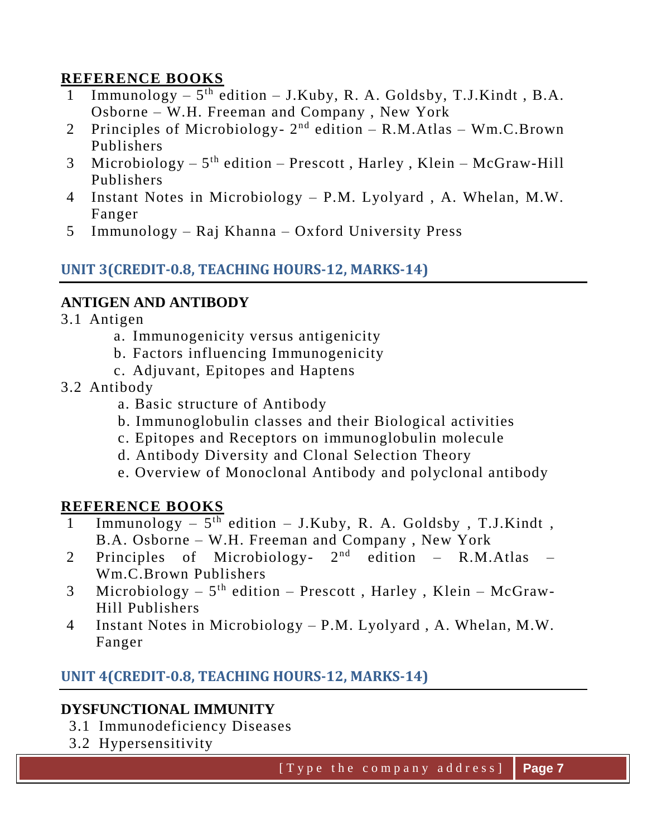## **REFERENCE BOOKS**

- 1 Immunology  $-5$ <sup>th</sup> edition  $-$  J.Kuby, R. A. Goldsby, T.J.Kindt, B.A. Osborne – W.H. Freeman and Company , New York
- 2 Principles of Microbiology-  $2<sup>nd</sup>$  edition R.M.Atlas Wm.C.Brown Publishers
- 3 Microbiology  $-5$ <sup>th</sup> edition  $-$  Prescott, Harley, Klein  $-$  McGraw-Hill Publishers
- 4 Instant Notes in Microbiology P.M. Lyolyard , A. Whelan, M.W. Fanger
- 5 Immunology Raj Khanna Oxford University Press

## **UNIT 3(CREDIT-0.8, TEACHING HOURS-12, MARKS-14)**

#### **ANTIGEN AND ANTIBODY**

- 3.1 Antigen
	- a. Immunogenicity versus antigenicity
	- b. Factors influencing Immunogenicity
	- c. Adjuvant, Epitopes and Haptens
- 3.2 Antibody
	- a. Basic structure of Antibody
	- b. Immunoglobulin classes and their Biological activities
	- c. Epitopes and Receptors on immunoglobulin molecule
	- d. Antibody Diversity and Clonal Selection Theory
	- e. Overview of Monoclonal Antibody and polyclonal antibody

#### **REFERENCE BOOKS**

- 1 Immunology 5<sup>th</sup> edition J.Kuby, R. A. Goldsby, T.J.Kindt, B.A. Osborne – W.H. Freeman and Company , New York
- 2 Principles of Microbiology-  $2<sup>nd</sup>$  edition R.M.Atlas Wm.C.Brown Publishers
- 3 Microbiology  $-5$ <sup>th</sup> edition  $-$  Prescott, Harley, Klein  $-$  McGraw-Hill Publishers
- 4 Instant Notes in Microbiology P.M. Lyolyard , A. Whelan, M.W. Fanger

#### **UNIT 4(CREDIT-0.8, TEACHING HOURS-12, MARKS-14)**

#### **DYSFUNCTIONAL IMMUNITY**

- 3.1 Immunodeficiency Diseases
- 3.2 Hypersensitivity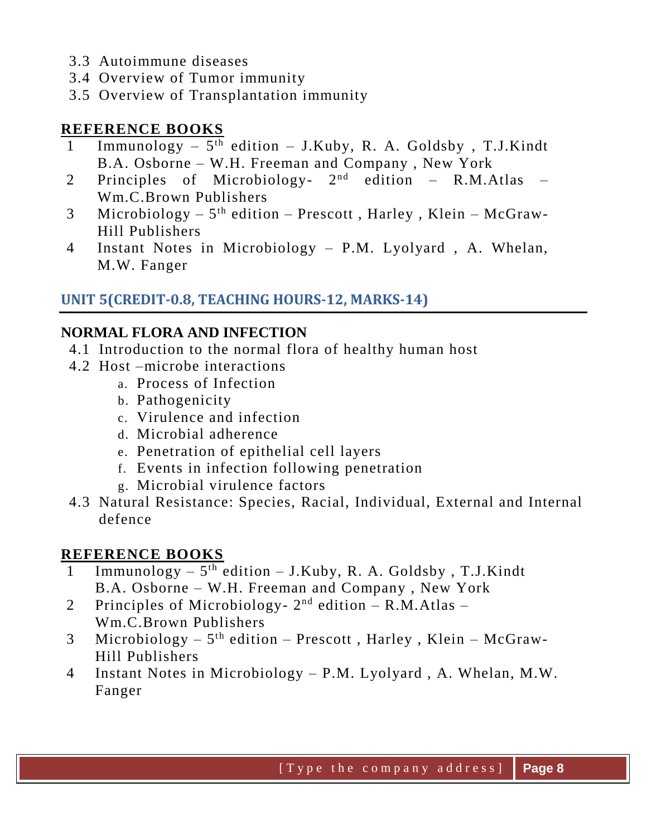- 3.3 Autoimmune diseases
- 3.4 Overview of Tumor immunity
- 3.5 Overview of Transplantation immunity

## **REFERENCE BOOKS**

- 1 Immunology 5 th edition J.Kuby, R. A. Goldsby , T.J.Kindt B.A. Osborne – W.H. Freeman and Company , New York
- 2 Principles of Microbiology- 2<sup>nd</sup> edition R.M.Atlas Wm.C.Brown Publishers
- 3 Microbiology  $-5$ <sup>th</sup> edition  $-$  Prescott, Harley, Klein  $-$  McGraw-Hill Publishers
- 4 Instant Notes in Microbiology P.M. Lyolyard , A. Whelan, M.W. Fanger

# **UNIT 5(CREDIT-0.8, TEACHING HOURS-12, MARKS-14)**

# **NORMAL FLORA AND INFECTION**

- 4.1 Introduction to the normal flora of healthy human host
- 4.2 Host –microbe interactions
	- a. Process of Infection
	- b. Pathogenicity
	- c. Virulence and infection
	- d. Microbial adherence
	- e. Penetration of epithelial cell layers
	- f. Events in infection following penetration
	- g. Microbial virulence factors
- 4.3 Natural Resistance: Species, Racial, Individual, External and Internal defence

- 1 Immunology 5<sup>th</sup> edition J.Kuby, R. A. Goldsby, T.J.Kindt B.A. Osborne – W.H. Freeman and Company , New York
- 2 Principles of Microbiology- $2<sup>nd</sup>$  edition R.M.Atlas Wm.C.Brown Publishers
- 3 Microbiology  $-5$ <sup>th</sup> edition  $-$  Prescott, Harley, Klein  $-$  McGraw-Hill Publishers
- 4 Instant Notes in Microbiology P.M. Lyolyard , A. Whelan, M.W. Fanger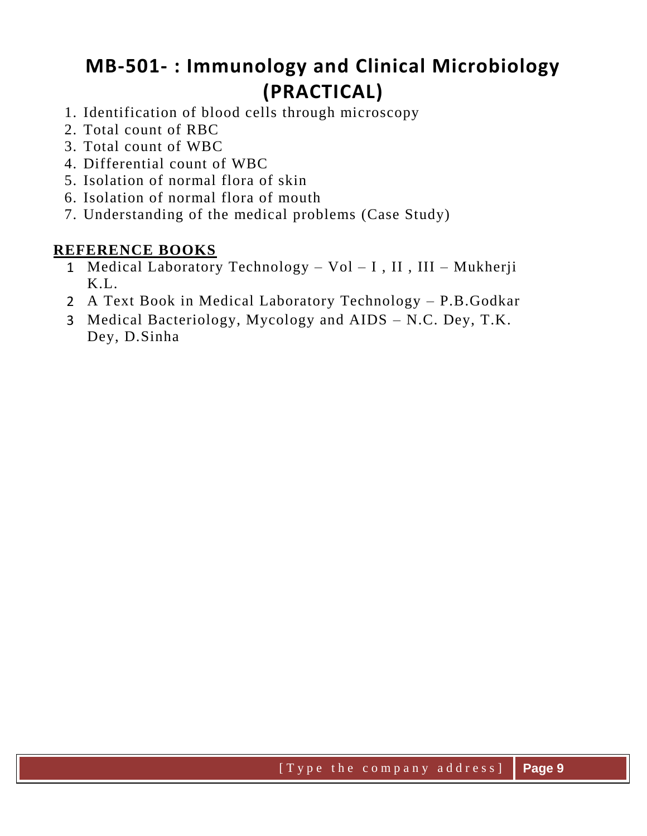# **MB-501- : Immunology and Clinical Microbiology (PRACTICAL)**

- 1. Identification of blood cells through microscopy
- 2. Total count of RBC
- 3. Total count of WBC
- 4. Differential count of WBC
- 5. Isolation of normal flora of skin
- 6. Isolation of normal flora of mouth
- 7. Understanding of the medical problems (Case Study)

- 1 Medical Laboratory Technology Vol I , II , III Mukherji K.L.
- 2 A Text Book in Medical Laboratory Technology P.B.Godkar
- 3 Medical Bacteriology, Mycology and AIDS N.C. Dey, T.K. Dey, D.Sinha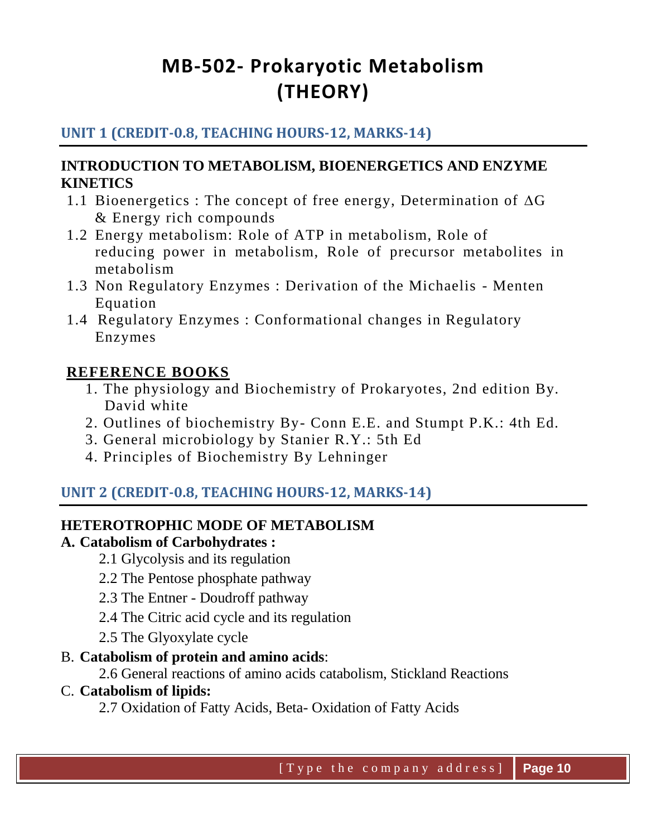# **MB-502- Prokaryotic Metabolism (THEORY)**

## **UNIT 1 (CREDIT-0.8, TEACHING HOURS-12, MARKS-14)**

#### **INTRODUCTION TO METABOLISM, BIOENERGETICS AND ENZYME KINETICS**

- 1.1 Bioenergetics : The concept of free energy, Determination of  $\Delta G$ & Energy rich compounds
- 1.2 Energy metabolism: Role of ATP in metabolism, Role of reducing power in metabolism, Role of precursor metabolites in metabolism
- 1.3 Non Regulatory Enzymes : Derivation of the Michaelis Menten Equation
- 1.4 Regulatory Enzymes : Conformational changes in Regulatory Enzymes

#### **REFERENCE BOOKS**

- 1. The physiology and Biochemistry of Prokaryotes, 2nd edition By. David white
- 2. Outlines of biochemistry By- Conn E.E. and Stumpt P.K.: 4th Ed.
- 3. General microbiology by Stanier R.Y.: 5th Ed
- 4. Principles of Biochemistry By Lehninger

# **UNIT 2 (CREDIT-0.8, TEACHING HOURS-12, MARKS-14)**

#### **HETEROTROPHIC MODE OF METABOLISM**

#### **A. Catabolism of Carbohydrates :**

- 2.1 Glycolysis and its regulation
- 2.2 The Pentose phosphate pathway
- 2.3 The Entner Doudroff pathway
- 2.4 The Citric acid cycle and its regulation
- 2.5 The Glyoxylate cycle

#### B. **Catabolism of protein and amino acids**:

2.6 General reactions of amino acids catabolism, Stickland Reactions

#### C. **Catabolism of lipids:**

2.7 Oxidation of Fatty Acids, Beta- Oxidation of Fatty Acids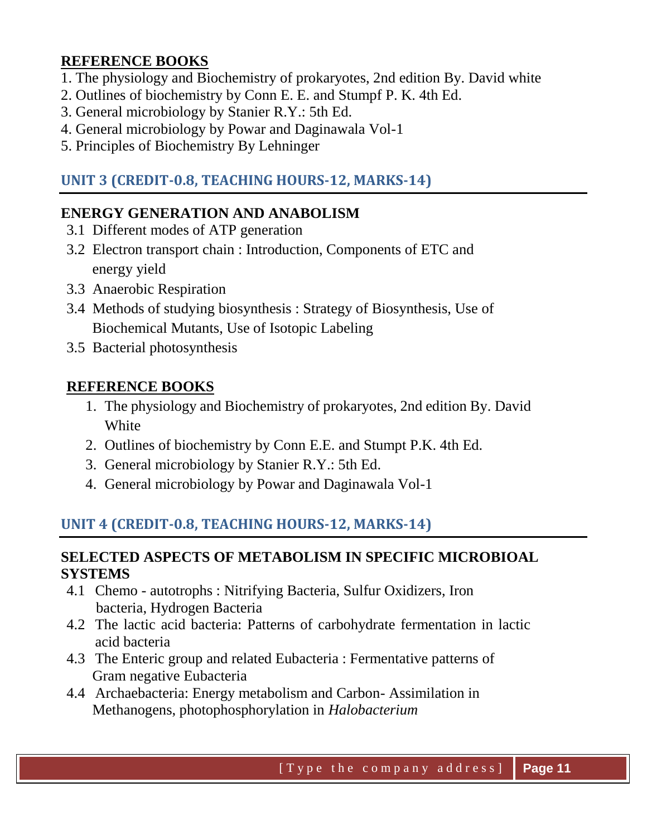#### **REFERENCE BOOKS**

- 1. The physiology and Biochemistry of prokaryotes, 2nd edition By. David white
- 2. Outlines of biochemistry by Conn E. E. and Stumpf P. K. 4th Ed.
- 3. General microbiology by Stanier R.Y.: 5th Ed.
- 4. General microbiology by Powar and Daginawala Vol-1
- 5. Principles of Biochemistry By Lehninger

# **UNIT 3 (CREDIT-0.8, TEACHING HOURS-12, MARKS-14)**

### **ENERGY GENERATION AND ANABOLISM**

- 3.1 Different modes of ATP generation
- 3.2 Electron transport chain : Introduction, Components of ETC and energy yield
- 3.3 Anaerobic Respiration
- 3.4 Methods of studying biosynthesis : Strategy of Biosynthesis, Use of Biochemical Mutants, Use of Isotopic Labeling
- 3.5 Bacterial photosynthesis

#### **REFERENCE BOOKS**

- 1. The physiology and Biochemistry of prokaryotes, 2nd edition By. David White
- 2. Outlines of biochemistry by Conn E.E. and Stumpt P.K. 4th Ed.
- 3. General microbiology by Stanier R.Y.: 5th Ed.
- 4. General microbiology by Powar and Daginawala Vol-1

# **UNIT 4 (CREDIT-0.8, TEACHING HOURS-12, MARKS-14)**

#### **SELECTED ASPECTS OF METABOLISM IN SPECIFIC MICROBIOAL SYSTEMS**

- 4.1 Chemo autotrophs : Nitrifying Bacteria, Sulfur Oxidizers, Iron bacteria, Hydrogen Bacteria
- 4.2 The lactic acid bacteria: Patterns of carbohydrate fermentation in lactic acid bacteria
- 4.3 The Enteric group and related Eubacteria : Fermentative patterns of Gram negative Eubacteria
- 4.4 Archaebacteria: Energy metabolism and Carbon- Assimilation in Methanogens, photophosphorylation in *Halobacterium*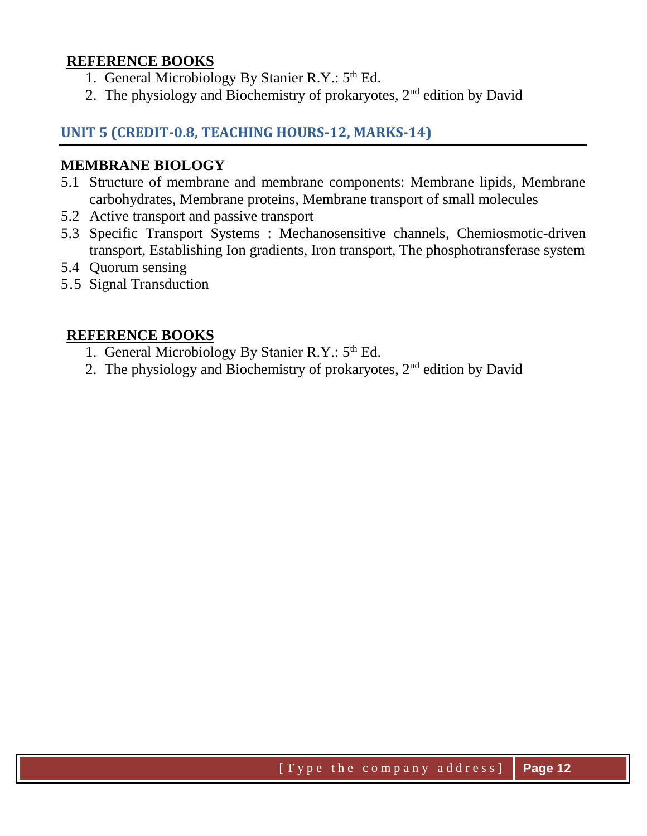#### **REFERENCE BOOKS**

- 1. General Microbiology By Stanier R.Y.: 5<sup>th</sup> Ed.
- 2. The physiology and Biochemistry of prokaryotes,  $2<sup>nd</sup>$  edition by David

#### **UNIT 5 (CREDIT-0.8, TEACHING HOURS-12, MARKS-14)**

#### **MEMBRANE BIOLOGY**

- 5.1 Structure of membrane and membrane components: Membrane lipids, Membrane carbohydrates, Membrane proteins, Membrane transport of small molecules
- 5.2 Active transport and passive transport
- 5.3 Specific Transport Systems : Mechanosensitive channels, Chemiosmotic-driven transport, Establishing Ion gradients, Iron transport, The phosphotransferase system
- 5.4 Quorum sensing
- 5.5 Signal Transduction

- 1. General Microbiology By Stanier R.Y.: 5<sup>th</sup> Ed.
- 2. The physiology and Biochemistry of prokaryotes,  $2<sup>nd</sup>$  edition by David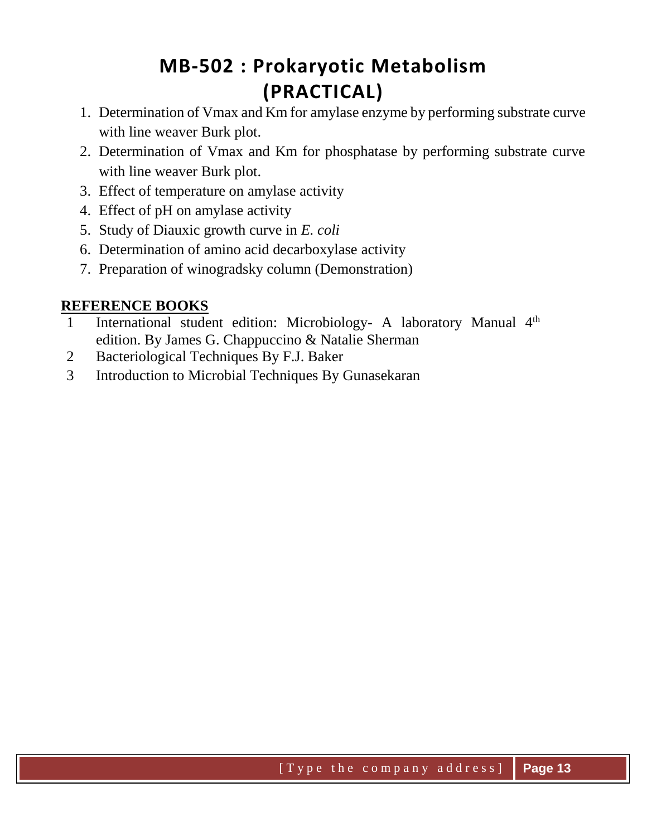# **MB-502 : Prokaryotic Metabolism (PRACTICAL)**

- 1. Determination of Vmax and Km for amylase enzyme by performing substrate curve with line weaver Burk plot.
- 2. Determination of Vmax and Km for phosphatase by performing substrate curve with line weaver Burk plot.
- 3. Effect of temperature on amylase activity
- 4. Effect of pH on amylase activity
- 5. Study of Diauxic growth curve in *E. coli*
- 6. Determination of amino acid decarboxylase activity
- 7. Preparation of winogradsky column (Demonstration)

- 1 International student edition: Microbiology- A laboratory Manual 4<sup>th</sup> edition. By James G. Chappuccino & Natalie Sherman
- 2 Bacteriological Techniques By F.J. Baker
- 3 Introduction to Microbial Techniques By Gunasekaran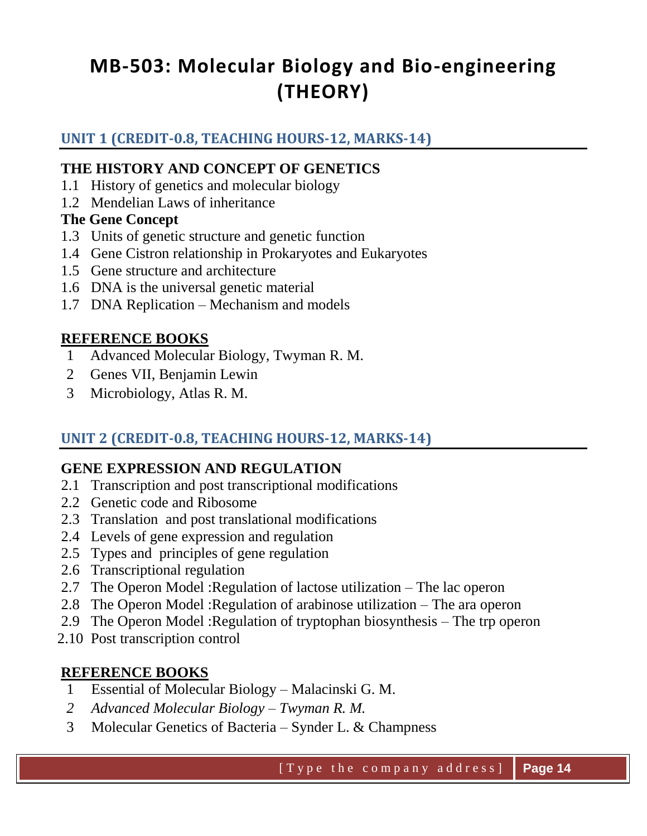# **MB-503: Molecular Biology and Bio-engineering (THEORY)**

# **UNIT 1 (CREDIT-0.8, TEACHING HOURS-12, MARKS-14)**

#### **THE HISTORY AND CONCEPT OF GENETICS**

- 1.1 History of genetics and molecular biology
- 1.2 Mendelian Laws of inheritance

#### **The Gene Concept**

- 1.3 Units of genetic structure and genetic function
- 1.4 Gene Cistron relationship in Prokaryotes and Eukaryotes
- 1.5 Gene structure and architecture
- 1.6 DNA is the universal genetic material
- 1.7 DNA Replication Mechanism and models

## **REFERENCE BOOKS**

- 1 Advanced Molecular Biology, Twyman R. M.
- 2 Genes VII, Benjamin Lewin
- 3 Microbiology, Atlas R. M.

# **UNIT 2 (CREDIT-0.8, TEACHING HOURS-12, MARKS-14)**

# **GENE EXPRESSION AND REGULATION**

- 2.1 Transcription and post transcriptional modifications
- 2.2 Genetic code and Ribosome
- 2.3 Translation and post translational modifications
- 2.4 Levels of gene expression and regulation
- 2.5 Types and principles of gene regulation
- 2.6 Transcriptional regulation
- 2.7 The Operon Model :Regulation of lactose utilization The lac operon
- 2.8 The Operon Model :Regulation of arabinose utilization The ara operon
- 2.9 The Operon Model :Regulation of tryptophan biosynthesis The trp operon
- 2.10 Post transcription control

- 1 Essential of Molecular Biology Malacinski G. M.
- *2 Advanced Molecular Biology – Twyman R. M.*
- 3 Molecular Genetics of Bacteria Synder L. & Champness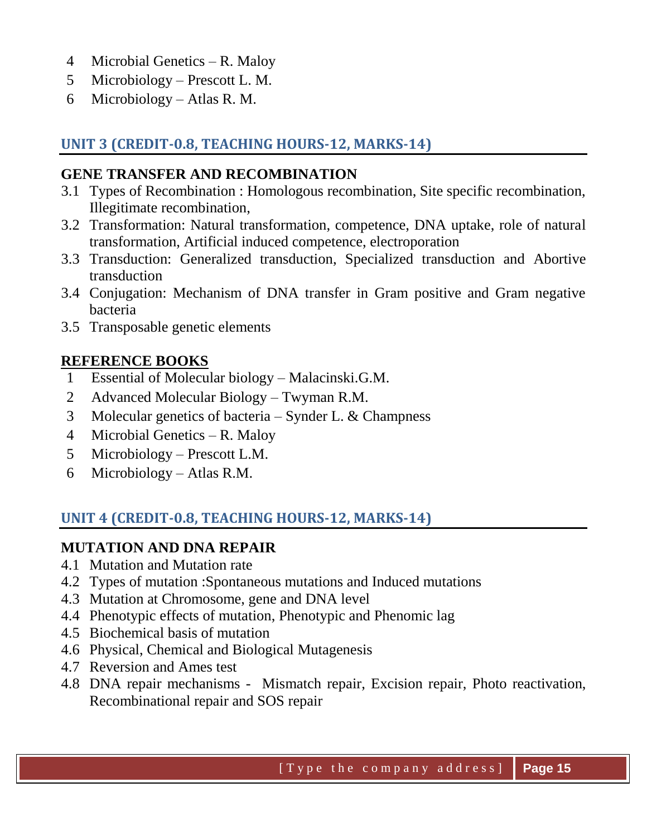- 4 Microbial Genetics R. Maloy
- 5 Microbiology Prescott L. M.
- 6 Microbiology Atlas R. M.

# **UNIT 3 (CREDIT-0.8, TEACHING HOURS-12, MARKS-14)**

## **GENE TRANSFER AND RECOMBINATION**

- 3.1 Types of Recombination : Homologous recombination, Site specific recombination, Illegitimate recombination,
- 3.2 Transformation: Natural transformation, competence, DNA uptake, role of natural transformation, Artificial induced competence, electroporation
- 3.3 Transduction: Generalized transduction, Specialized transduction and Abortive transduction
- 3.4 Conjugation: Mechanism of DNA transfer in Gram positive and Gram negative bacteria
- 3.5 Transposable genetic elements

## **REFERENCE BOOKS**

- 1 Essential of Molecular biology Malacinski.G.M.
- 2 Advanced Molecular Biology Twyman R.M.
- 3 Molecular genetics of bacteria Synder L. & Champness
- 4 Microbial Genetics R. Maloy
- 5 Microbiology Prescott L.M.
- 6 Microbiology Atlas R.M.

# **UNIT 4 (CREDIT-0.8, TEACHING HOURS-12, MARKS-14)**

#### **MUTATION AND DNA REPAIR**

- 4.1 Mutation and Mutation rate
- 4.2 Types of mutation :Spontaneous mutations and Induced mutations
- 4.3 Mutation at Chromosome, gene and DNA level
- 4.4 Phenotypic effects of mutation, Phenotypic and Phenomic lag
- 4.5 Biochemical basis of mutation
- 4.6 Physical, Chemical and Biological Mutagenesis
- 4.7 Reversion and Ames test
- 4.8 DNA repair mechanisms Mismatch repair, Excision repair, Photo reactivation, Recombinational repair and SOS repair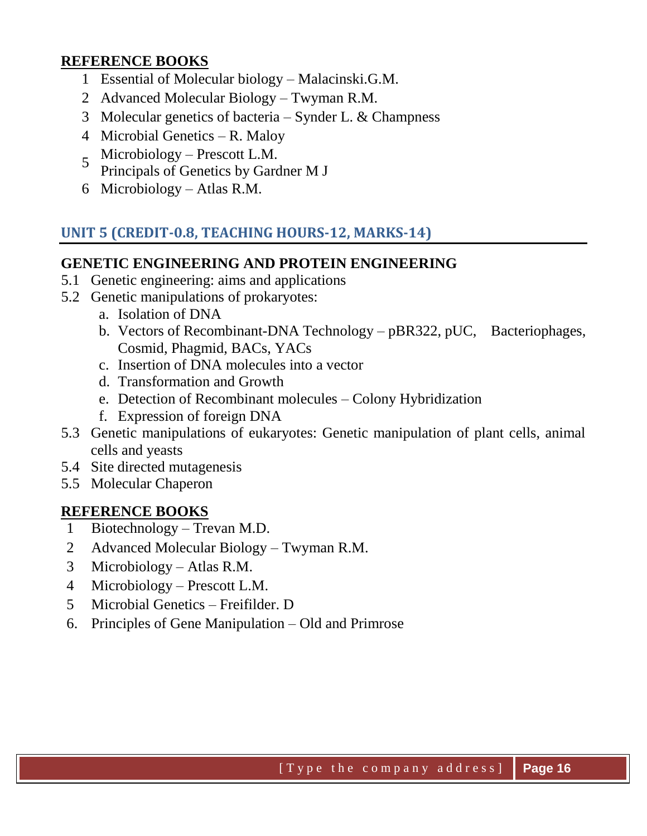#### **REFERENCE BOOKS**

- 1 Essential of Molecular biology Malacinski.G.M.
- 2 Advanced Molecular Biology Twyman R.M.
- 3 Molecular genetics of bacteria Synder L. & Champness
- 4 Microbial Genetics R. Maloy
- 5 Microbiology – Prescott L.M.
- Principals of Genetics by Gardner M J
- 6 Microbiology Atlas R.M.

# **UNIT 5 (CREDIT-0.8, TEACHING HOURS-12, MARKS-14)**

#### **GENETIC ENGINEERING AND PROTEIN ENGINEERING**

- 5.1 Genetic engineering: aims and applications
- 5.2 Genetic manipulations of prokaryotes:
	- a. Isolation of DNA
	- b. Vectors of Recombinant-DNA Technology pBR322, pUC, Bacteriophages, Cosmid, Phagmid, BACs, YACs
	- c. Insertion of DNA molecules into a vector
	- d. Transformation and Growth
	- e. Detection of Recombinant molecules Colony Hybridization
	- f. Expression of foreign DNA
- 5.3 Genetic manipulations of eukaryotes: Genetic manipulation of plant cells, animal cells and yeasts
- 5.4 Site directed mutagenesis
- 5.5 Molecular Chaperon

- 1 Biotechnology Trevan M.D.
- 2 Advanced Molecular Biology Twyman R.M.
- 3 Microbiology Atlas R.M.
- 4 Microbiology Prescott L.M.
- 5 Microbial Genetics Freifilder. D
- 6. Principles of Gene Manipulation Old and Primrose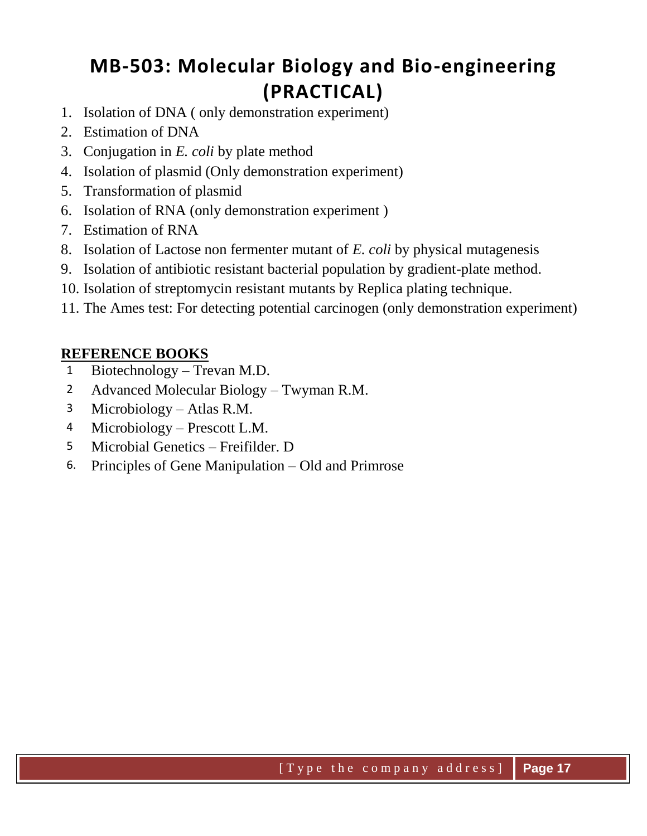# **MB-503: Molecular Biology and Bio-engineering (PRACTICAL)**

- 1. Isolation of DNA ( only demonstration experiment)
- 2. Estimation of DNA
- 3. Conjugation in *E. coli* by plate method
- 4. Isolation of plasmid (Only demonstration experiment)
- 5. Transformation of plasmid
- 6. Isolation of RNA (only demonstration experiment )
- 7. Estimation of RNA
- 8. Isolation of Lactose non fermenter mutant of *E. coli* by physical mutagenesis
- 9. Isolation of antibiotic resistant bacterial population by gradient-plate method.
- 10. Isolation of streptomycin resistant mutants by Replica plating technique.
- 11. The Ames test: For detecting potential carcinogen (only demonstration experiment)

- 1 Biotechnology Trevan M.D.
- 2 Advanced Molecular Biology Twyman R.M.
- 3 Microbiology Atlas R.M.
- 4 Microbiology Prescott L.M.
- 5 Microbial Genetics Freifilder. D
- 6. Principles of Gene Manipulation Old and Primrose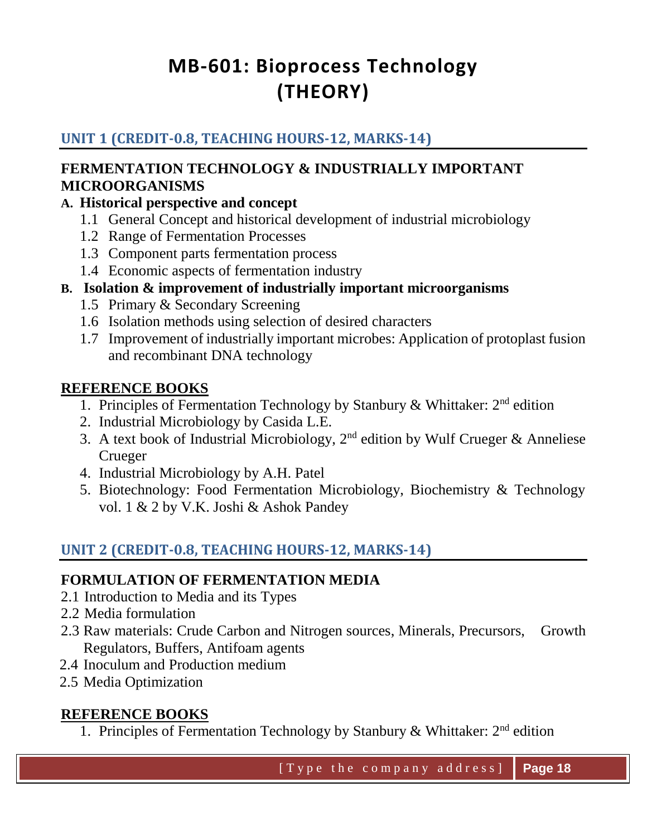# **MB-601: Bioprocess Technology (THEORY)**

# **UNIT 1 (CREDIT-0.8, TEACHING HOURS-12, MARKS-14)**

#### **FERMENTATION TECHNOLOGY & INDUSTRIALLY IMPORTANT MICROORGANISMS**

## **A. Historical perspective and concept**

- 1.1 General Concept and historical development of industrial microbiology
- 1.2 Range of Fermentation Processes
- 1.3 Component parts fermentation process
- 1.4 Economic aspects of fermentation industry

## **B. Isolation & improvement of industrially important microorganisms**

- 1.5 Primary & Secondary Screening
- 1.6 Isolation methods using selection of desired characters
- 1.7 Improvement of industrially important microbes: Application of protoplast fusion and recombinant DNA technology

## **REFERENCE BOOKS**

- 1. Principles of Fermentation Technology by Stanbury & Whittaker:  $2<sup>nd</sup>$  edition
- 2. Industrial Microbiology by Casida L.E.
- 3. A text book of Industrial Microbiology,  $2<sup>nd</sup>$  edition by Wulf Crueger & Anneliese Crueger
- 4. Industrial Microbiology by A.H. Patel
- 5. Biotechnology: Food Fermentation Microbiology, Biochemistry & Technology vol. 1 & 2 by V.K. Joshi & Ashok Pandey

# **UNIT 2 (CREDIT-0.8, TEACHING HOURS-12, MARKS-14)**

#### **FORMULATION OF FERMENTATION MEDIA**

- 2.1 Introduction to Media and its Types
- 2.2 Media formulation
- 2.3 Raw materials: Crude Carbon and Nitrogen sources, Minerals, Precursors, Growth Regulators, Buffers, Antifoam agents
- 2.4 Inoculum and Production medium
- 2.5 Media Optimization

# **REFERENCE BOOKS**

1. Principles of Fermentation Technology by Stanbury & Whittaker:  $2<sup>nd</sup>$  edition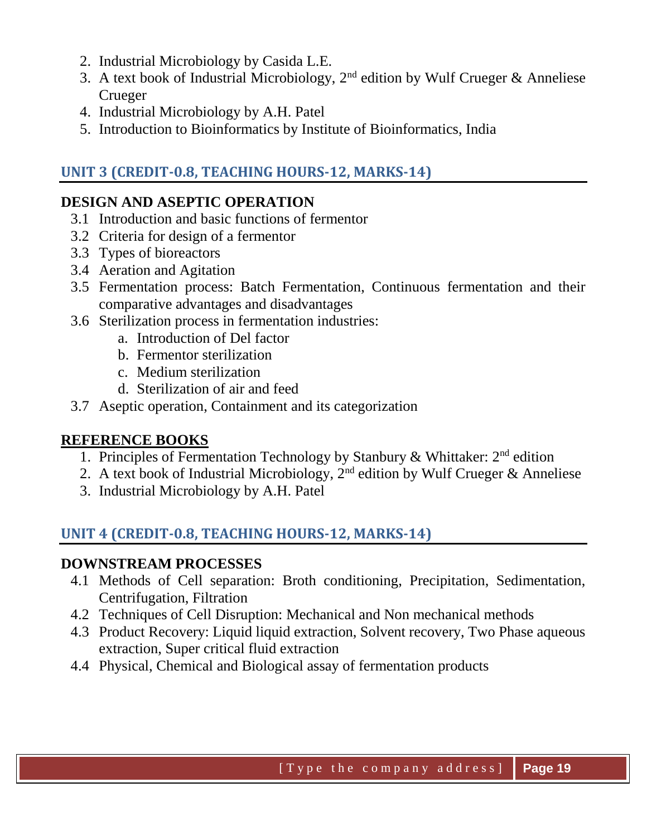- 2. Industrial Microbiology by Casida L.E.
- 3. A text book of Industrial Microbiology,  $2<sup>nd</sup>$  edition by Wulf Crueger & Anneliese Crueger
- 4. Industrial Microbiology by A.H. Patel
- 5. Introduction to Bioinformatics by Institute of Bioinformatics, India

# **UNIT 3 (CREDIT-0.8, TEACHING HOURS-12, MARKS-14)**

# **DESIGN AND ASEPTIC OPERATION**

- 3.1 Introduction and basic functions of fermentor
- 3.2 Criteria for design of a fermentor
- 3.3 Types of bioreactors
- 3.4 Aeration and Agitation
- 3.5 Fermentation process: Batch Fermentation, Continuous fermentation and their comparative advantages and disadvantages
- 3.6 Sterilization process in fermentation industries:
	- a. Introduction of Del factor
	- b. Fermentor sterilization
	- c. Medium sterilization
	- d. Sterilization of air and feed
- 3.7 Aseptic operation, Containment and its categorization

# **REFERENCE BOOKS**

- 1. Principles of Fermentation Technology by Stanbury & Whittaker:  $2<sup>nd</sup>$  edition
- 2. A text book of Industrial Microbiology,  $2<sup>nd</sup>$  edition by Wulf Crueger & Anneliese
- 3. Industrial Microbiology by A.H. Patel

# **UNIT 4 (CREDIT-0.8, TEACHING HOURS-12, MARKS-14)**

#### **DOWNSTREAM PROCESSES**

- 4.1 Methods of Cell separation: Broth conditioning, Precipitation, Sedimentation, Centrifugation, Filtration
- 4.2 Techniques of Cell Disruption: Mechanical and Non mechanical methods
- 4.3 Product Recovery: Liquid liquid extraction, Solvent recovery, Two Phase aqueous extraction, Super critical fluid extraction
- 4.4 Physical, Chemical and Biological assay of fermentation products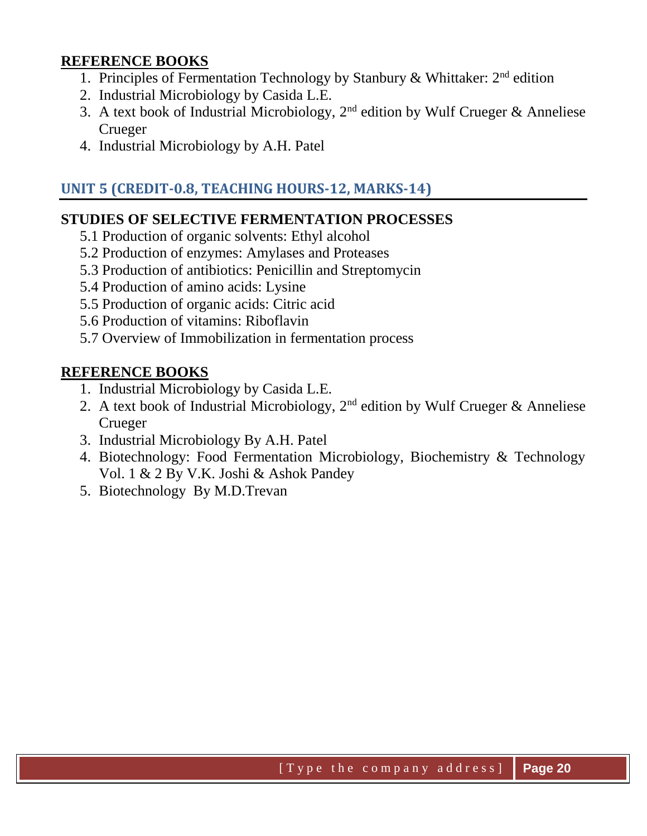#### **REFERENCE BOOKS**

- 1. Principles of Fermentation Technology by Stanbury & Whittaker:  $2<sup>nd</sup>$  edition
- 2. Industrial Microbiology by Casida L.E.
- 3. A text book of Industrial Microbiology, 2nd edition by Wulf Crueger & Anneliese Crueger
- 4. Industrial Microbiology by A.H. Patel

## **UNIT 5 (CREDIT-0.8, TEACHING HOURS-12, MARKS-14)**

#### **STUDIES OF SELECTIVE FERMENTATION PROCESSES**

- 5.1 Production of organic solvents: Ethyl alcohol
- 5.2 Production of enzymes: Amylases and Proteases
- 5.3 Production of antibiotics: Penicillin and Streptomycin
- 5.4 Production of amino acids: Lysine
- 5.5 Production of organic acids: Citric acid
- 5.6 Production of vitamins: Riboflavin
- 5.7 Overview of Immobilization in fermentation process

- 1. Industrial Microbiology by Casida L.E.
- 2. A text book of Industrial Microbiology,  $2<sup>nd</sup>$  edition by Wulf Crueger & Anneliese Crueger
- 3. Industrial Microbiology By A.H. Patel
- 4. Biotechnology: Food Fermentation Microbiology, Biochemistry & Technology Vol. 1 & 2 By V.K. Joshi & Ashok Pandey
- 5. Biotechnology By M.D.Trevan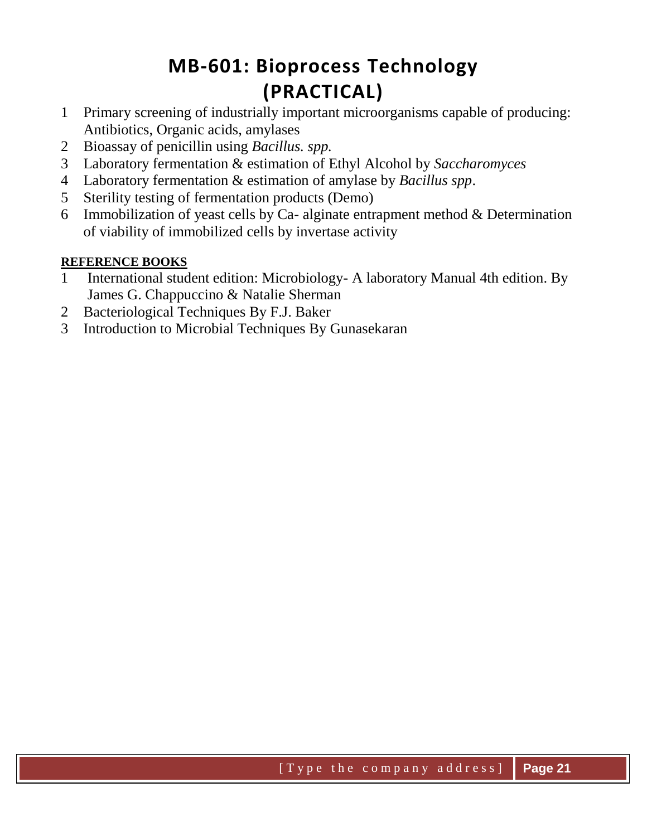# **MB-601: Bioprocess Technology (PRACTICAL)**

- 1 Primary screening of industrially important microorganisms capable of producing: Antibiotics, Organic acids, amylases
- 2 Bioassay of penicillin using *Bacillus. spp.*
- 3 Laboratory fermentation & estimation of Ethyl Alcohol by *Saccharomyces*
- 4 Laboratory fermentation & estimation of amylase by *Bacillus spp*.
- 5 Sterility testing of fermentation products (Demo)
- 6 Immobilization of yeast cells by Ca- alginate entrapment method  $&$  Determination of viability of immobilized cells by invertase activity

- 1 International student edition: Microbiology- A laboratory Manual 4th edition. By James G. Chappuccino & Natalie Sherman
- 2 Bacteriological Techniques By F.J. Baker
- 3 Introduction to Microbial Techniques By Gunasekaran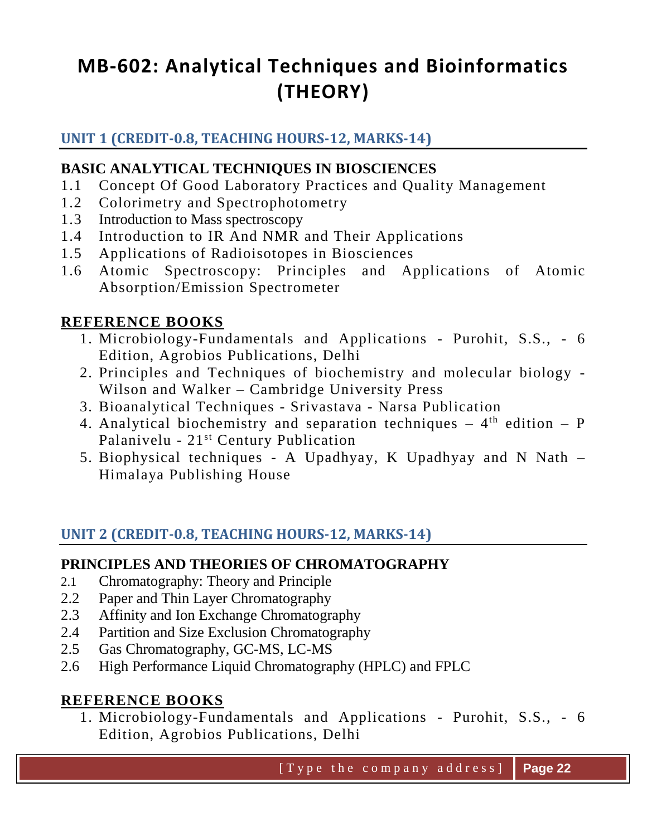# **MB-602: Analytical Techniques and Bioinformatics (THEORY)**

## **UNIT 1 (CREDIT-0.8, TEACHING HOURS-12, MARKS-14)**

### **BASIC ANALYTICAL TECHNIQUES IN BIOSCIENCES**

- 1.1 Concept Of Good Laboratory Practices and Quality Management
- 1.2 Colorimetry and Spectrophotometry
- 1.3 Introduction to Mass spectroscopy
- 1.4 Introduction to IR And NMR and Their Applications
- 1.5 Applications of Radioisotopes in Biosciences
- 1.6 Atomic Spectroscopy: Principles and Applications of Atomic Absorption/Emission Spectrometer

## **REFERENCE BOOKS**

- 1. Microbiology-Fundamentals and Applications Purohit, S.S., 6 Edition, Agrobios Publications, Delhi
- 2. Principles and Techniques of biochemistry and molecular biology Wilson and Walker – Cambridge University Press
- 3. Bioanalytical Techniques Srivastava Narsa Publication
- 4. Analytical biochemistry and separation techniques  $-4$ <sup>th</sup> edition  $P$ Palanivelu - 21st Century Publication
- 5. Biophysical techniques A Upadhyay, K Upadhyay and N Nath Himalaya Publishing House

# **UNIT 2 (CREDIT-0.8, TEACHING HOURS-12, MARKS-14)**

#### **PRINCIPLES AND THEORIES OF CHROMATOGRAPHY**

- 2.1 Chromatography: Theory and Principle
- 2.2 Paper and Thin Layer Chromatography
- 2.3 Affinity and Ion Exchange Chromatography
- 2.4 Partition and Size Exclusion Chromatography
- 2.5 Gas Chromatography, GC-MS, LC-MS
- 2.6 High Performance Liquid Chromatography (HPLC) and FPLC

#### **REFERENCE BOOKS**

1. Microbiology-Fundamentals and Applications - Purohit, S.S., - 6 Edition, Agrobios Publications, Delhi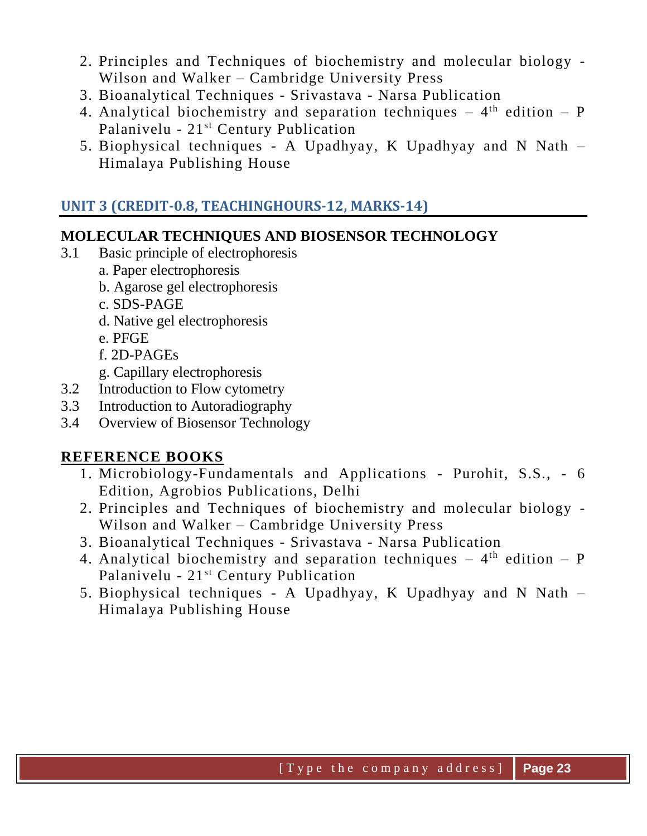- 2. Principles and Techniques of biochemistry and molecular biology Wilson and Walker – Cambridge University Press
- 3. Bioanalytical Techniques Srivastava Narsa Publication
- 4. Analytical biochemistry and separation techniques  $-4$ <sup>th</sup> edition  $P$ Palanivelu - 21st Century Publication
- 5. Biophysical techniques A Upadhyay, K Upadhyay and N Nath Himalaya Publishing House

# **UNIT 3 (CREDIT-0.8, TEACHINGHOURS-12, MARKS-14)**

# **MOLECULAR TECHNIQUES AND BIOSENSOR TECHNOLOGY**

- 3.1 Basic principle of electrophoresis
	- a. Paper electrophoresis
	- b. Agarose gel electrophoresis
	- c. SDS-PAGE
	- d. Native gel electrophoresis
	- e. PFGE
	- f. 2D-PAGEs
	- g. Capillary electrophoresis
- 3.2 Introduction to Flow cytometry
- 3.3 Introduction to Autoradiography
- 3.4 Overview of Biosensor Technology

- 1. Microbiology-Fundamentals and Applications Purohit, S.S., 6 Edition, Agrobios Publications, Delhi
- 2. Principles and Techniques of biochemistry and molecular biology Wilson and Walker – Cambridge University Press
- 3. Bioanalytical Techniques Srivastava Narsa Publication
- 4. Analytical biochemistry and separation techniques  $-4$ <sup>th</sup> edition  $P$ Palanivelu - 21st Century Publication
- 5. Biophysical techniques A Upadhyay, K Upadhyay and N Nath Himalaya Publishing House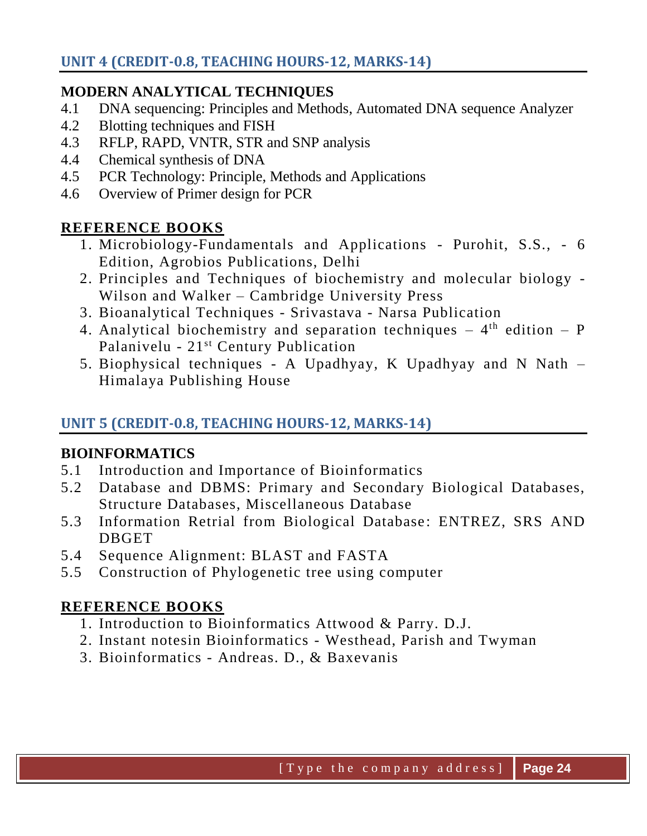#### **MODERN ANALYTICAL TECHNIQUES**

- 4.1 DNA sequencing: Principles and Methods, Automated DNA sequence Analyzer
- 4.2 Blotting techniques and FISH
- 4.3 RFLP, RAPD, VNTR, STR and SNP analysis
- 4.4 Chemical synthesis of DNA
- 4.5 PCR Technology: Principle, Methods and Applications
- 4.6 Overview of Primer design for PCR

## **REFERENCE BOOKS**

- 1. Microbiology-Fundamentals and Applications Purohit, S.S., 6 Edition, Agrobios Publications, Delhi
- 2. Principles and Techniques of biochemistry and molecular biology Wilson and Walker – Cambridge University Press
- 3. Bioanalytical Techniques Srivastava Narsa Publication
- 4. Analytical biochemistry and separation techniques  $-4$ <sup>th</sup> edition  $P$ Palanivelu - 21<sup>st</sup> Century Publication
- 5. Biophysical techniques A Upadhyay, K Upadhyay and N Nath Himalaya Publishing House

# **UNIT 5 (CREDIT-0.8, TEACHING HOURS-12, MARKS-14)**

# **BIOINFORMATICS**

- 5.1 Introduction and Importance of Bioinformatics
- 5.2 Database and DBMS: Primary and Secondary Biological Databases, Structure Databases, Miscellaneous Database
- 5.3 Information Retrial from Biological Database: ENTREZ, SRS AND DBGET
- 5.4 Sequence Alignment: BLAST and FASTA
- 5.5 Construction of Phylogenetic tree using computer

- 1. Introduction to Bioinformatics Attwood & Parry. D.J.
- 2. Instant notesin Bioinformatics Westhead, Parish and Twyman
- 3. Bioinformatics Andreas. D., & Baxevanis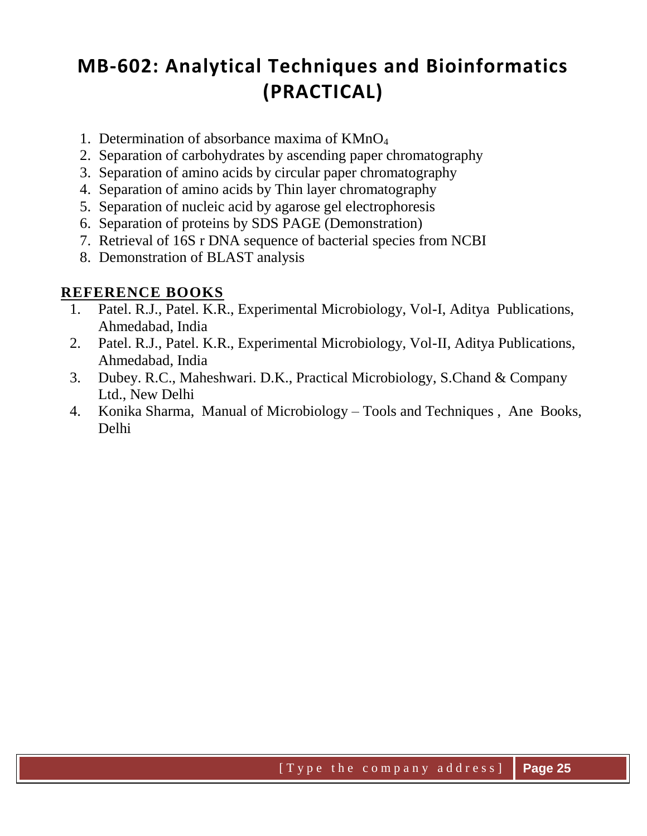# **MB-602: Analytical Techniques and Bioinformatics (PRACTICAL)**

- 1. Determination of absorbance maxima of KMnO<sup>4</sup>
- 2. Separation of carbohydrates by ascending paper chromatography
- 3. Separation of amino acids by circular paper chromatography
- 4. Separation of amino acids by Thin layer chromatography
- 5. Separation of nucleic acid by agarose gel electrophoresis
- 6. Separation of proteins by SDS PAGE (Demonstration)
- 7. Retrieval of 16S r DNA sequence of bacterial species from NCBI
- 8. Demonstration of BLAST analysis

- 1. Patel. R.J., Patel. K.R., Experimental Microbiology, Vol-I, Aditya Publications, Ahmedabad, India
- 2. Patel. R.J., Patel. K.R., Experimental Microbiology, Vol-II, Aditya Publications, Ahmedabad, India
- 3. Dubey. R.C., Maheshwari. D.K., Practical Microbiology, S.Chand & Company Ltd., New Delhi
- 4. Konika Sharma, Manual of Microbiology Tools and Techniques , Ane Books, Delhi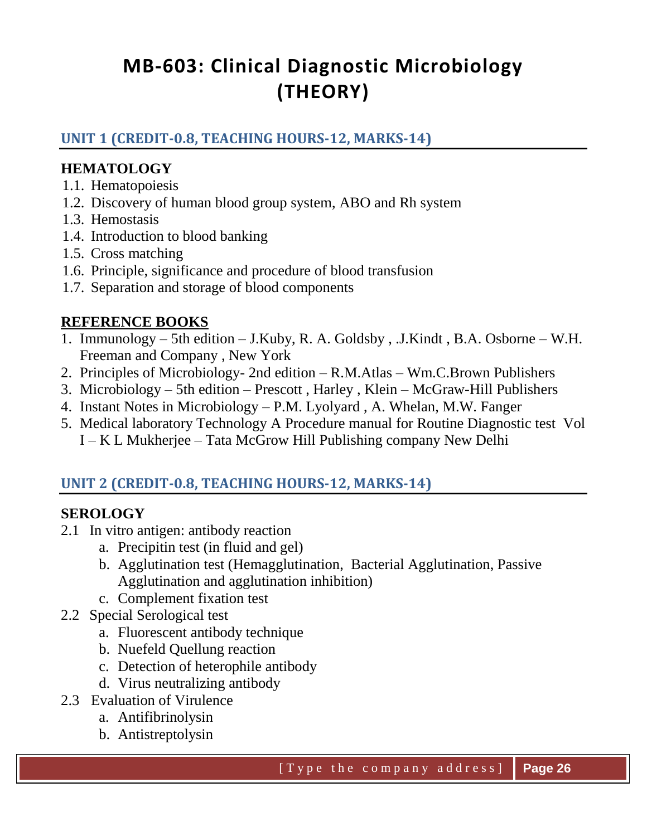# **MB-603: Clinical Diagnostic Microbiology (THEORY)**

# **UNIT 1 (CREDIT-0.8, TEACHING HOURS-12, MARKS-14)**

#### **HEMATOLOGY**

- 1.1. Hematopoiesis
- 1.2. Discovery of human blood group system, ABO and Rh system
- 1.3. Hemostasis
- 1.4. Introduction to blood banking
- 1.5. Cross matching
- 1.6. Principle, significance and procedure of blood transfusion
- 1.7. Separation and storage of blood components

#### **REFERENCE BOOKS**

- 1. Immunology 5th edition J.Kuby, R. A. Goldsby , .J.Kindt , B.A. Osborne W.H. Freeman and Company , New York
- 2. Principles of Microbiology- 2nd edition R.M.Atlas Wm.C.Brown Publishers
- 3. Microbiology 5th edition Prescott , Harley , Klein McGraw-Hill Publishers
- 4. Instant Notes in Microbiology P.M. Lyolyard , A. Whelan, M.W. Fanger
- 5. Medical laboratory Technology A Procedure manual for Routine Diagnostic test Vol I – K L Mukherjee – Tata McGrow Hill Publishing company New Delhi

# **UNIT 2 (CREDIT-0.8, TEACHING HOURS-12, MARKS-14)**

#### **SEROLOGY**

- 2.1 In vitro antigen: antibody reaction
	- a. Precipitin test (in fluid and gel)
	- b. Agglutination test (Hemagglutination, Bacterial Agglutination, Passive Agglutination and agglutination inhibition)
	- c. Complement fixation test
- 2.2 Special Serological test
	- a. Fluorescent antibody technique
	- b. Nuefeld Quellung reaction
	- c. Detection of heterophile antibody
	- d. Virus neutralizing antibody
- 2.3 Evaluation of Virulence
	- a. Antifibrinolysin
	- b. Antistreptolysin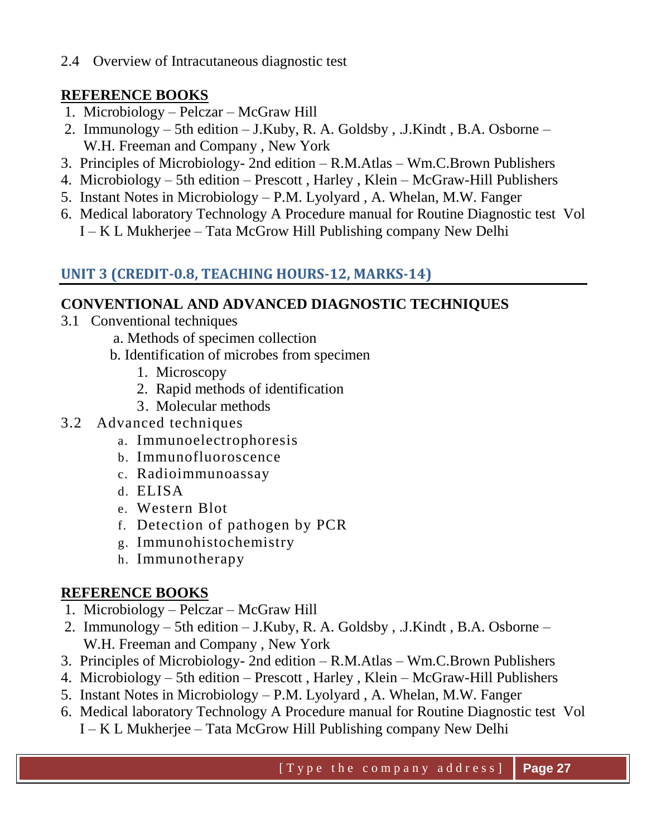2.4 Overview of Intracutaneous diagnostic test

# **REFERENCE BOOKS**

- 1. Microbiology Pelczar McGraw Hill
- 2. Immunology 5th edition J.Kuby, R. A. Goldsby , .J.Kindt , B.A. Osborne W.H. Freeman and Company , New York
- 3. Principles of Microbiology- 2nd edition R.M.Atlas Wm.C.Brown Publishers
- 4. Microbiology 5th edition Prescott , Harley , Klein McGraw-Hill Publishers
- 5. Instant Notes in Microbiology P.M. Lyolyard , A. Whelan, M.W. Fanger
- 6. Medical laboratory Technology A Procedure manual for Routine Diagnostic test Vol I – K L Mukherjee – Tata McGrow Hill Publishing company New Delhi

# **UNIT 3 (CREDIT-0.8, TEACHING HOURS-12, MARKS-14)**

#### **CONVENTIONAL AND ADVANCED DIAGNOSTIC TECHNIQUES**

- 3.1 Conventional techniques
	- a. Methods of specimen collection
	- b. Identification of microbes from specimen
		- 1. Microscopy
		- 2. Rapid methods of identification
		- 3. Molecular methods
- 3.2 Advanced techniques
	- a. Immunoelectrophoresis
	- b. Immunofluoroscence
	- c. Radioimmunoassay
	- d. ELISA
	- e. Western Blot
	- f. Detection of pathogen by PCR
	- g. Immunohistochemistry
	- h. Immunotherapy

- 1. Microbiology Pelczar McGraw Hill
- 2. Immunology 5th edition J.Kuby, R. A. Goldsby , .J.Kindt , B.A. Osborne W.H. Freeman and Company , New York
- 3. Principles of Microbiology- 2nd edition R.M.Atlas Wm.C.Brown Publishers
- 4. Microbiology 5th edition Prescott , Harley , Klein McGraw-Hill Publishers
- 5. Instant Notes in Microbiology P.M. Lyolyard , A. Whelan, M.W. Fanger
- 6. Medical laboratory Technology A Procedure manual for Routine Diagnostic test Vol
	- I K L Mukherjee Tata McGrow Hill Publishing company New Delhi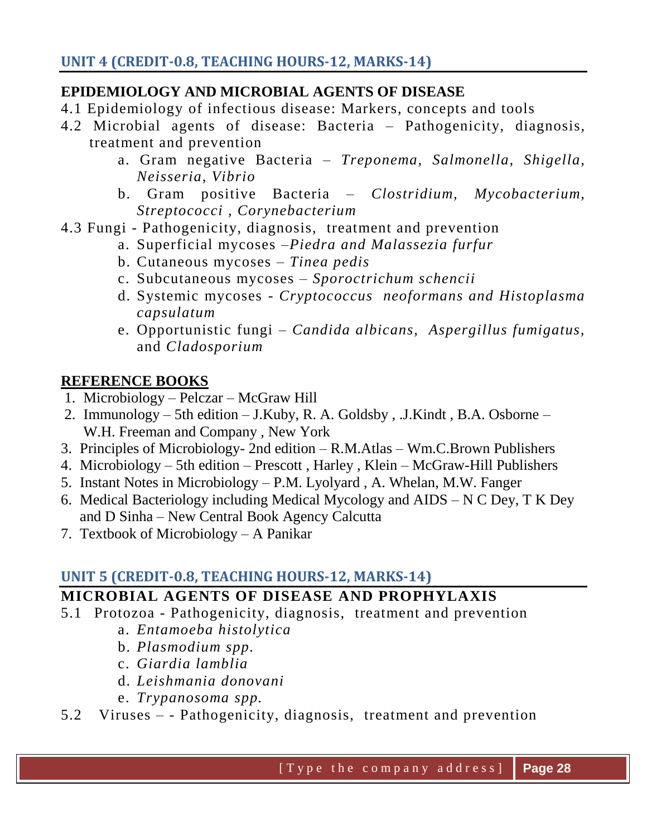## **EPIDEMIOLOGY AND MICROBIAL AGENTS OF DISEASE**

- 4.1 Epidemiology of infectious disease: Markers, concepts and tools
- 4.2 Microbial agents of disease: Bacteria Pathogenicity, diagnosis, treatment and prevention
	- a. Gram negative Bacteria *Treponema, Salmonella, Shigella, Neisseria, Vibrio*
	- b. Gram positive Bacteria *Clostridium, Mycobacterium, Streptococci , Corynebacterium*
- 4.3 Fungi Pathogenicity, diagnosis, treatment and prevention
	- a. Superficial mycoses –*Piedra and Malassezia furfur*
	- b. Cutaneous mycoses *Tinea pedis*
	- c. Subcutaneous mycoses *– Sporoctrichum schencii*
	- d. Systemic mycoses *Cryptococcus neoformans and Histoplasma capsulatum*
	- e. Opportunistic fungi *Candida albicans, Aspergillus fumigatus,*  and *Cladosporium*

## **REFERENCE BOOKS**

- 1. Microbiology Pelczar McGraw Hill
- 2. Immunology 5th edition J.Kuby, R. A. Goldsby , .J.Kindt , B.A. Osborne W.H. Freeman and Company , New York
- 3. Principles of Microbiology- 2nd edition R.M.Atlas Wm.C.Brown Publishers
- 4. Microbiology 5th edition Prescott , Harley , Klein McGraw-Hill Publishers
- 5. Instant Notes in Microbiology P.M. Lyolyard , A. Whelan, M.W. Fanger
- 6. Medical Bacteriology including Medical Mycology and AIDS N C Dey, T K Dey and D Sinha – New Central Book Agency Calcutta
- 7. Textbook of Microbiology A Panikar

# **UNIT 5 (CREDIT-0.8, TEACHING HOURS-12, MARKS-14)**

# **MICROBIAL AGENTS OF DISEASE AND PROPHYLAXIS**

- 5.1 Protozoa Pathogenicity, diagnosis, treatment and prevention
	- a. *Entamoeba histolytica*
	- b. *Plasmodium spp.*
	- c. *Giardia lamblia*
	- d. *Leishmania donovani*
	- e. *Trypanosoma spp.*
- 5.2 Viruses - Pathogenicity, diagnosis, treatment and prevention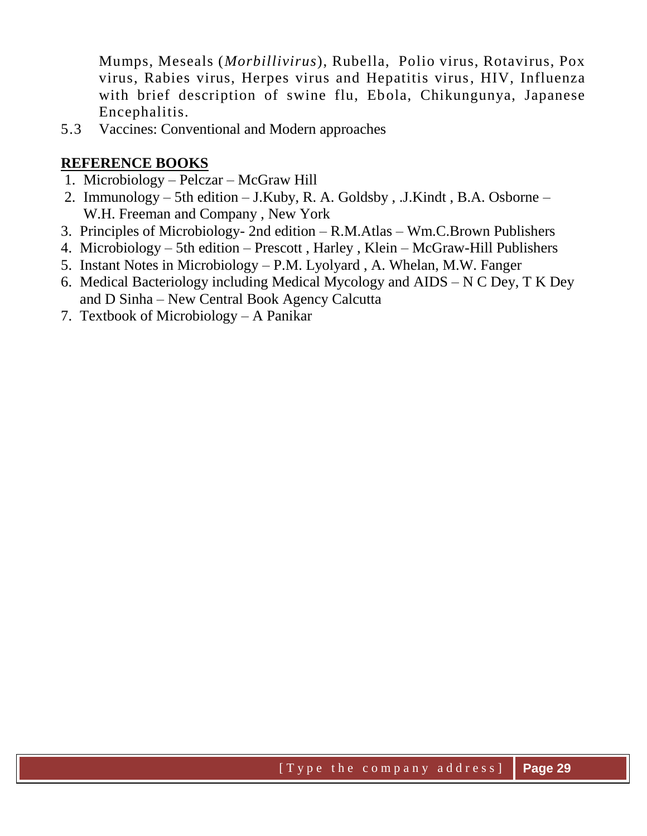Mumps, Meseals (*Morbillivirus*), Rubella, Polio virus, Rotavirus, Pox virus, Rabies virus, Herpes virus and Hepatitis virus, HIV, Influenza with brief description of swine flu, Ebola, Chikungunya, Japanese Encephalitis.

5.3 Vaccines: Conventional and Modern approaches

- 1. Microbiology Pelczar McGraw Hill
- 2. Immunology 5th edition J.Kuby, R. A. Goldsby , .J.Kindt , B.A. Osborne W.H. Freeman and Company , New York
- 3. Principles of Microbiology- 2nd edition R.M.Atlas Wm.C.Brown Publishers
- 4. Microbiology 5th edition Prescott , Harley , Klein McGraw-Hill Publishers
- 5. Instant Notes in Microbiology P.M. Lyolyard , A. Whelan, M.W. Fanger
- 6. Medical Bacteriology including Medical Mycology and AIDS N C Dey, T K Dey and D Sinha – New Central Book Agency Calcutta
- 7. Textbook of Microbiology A Panikar